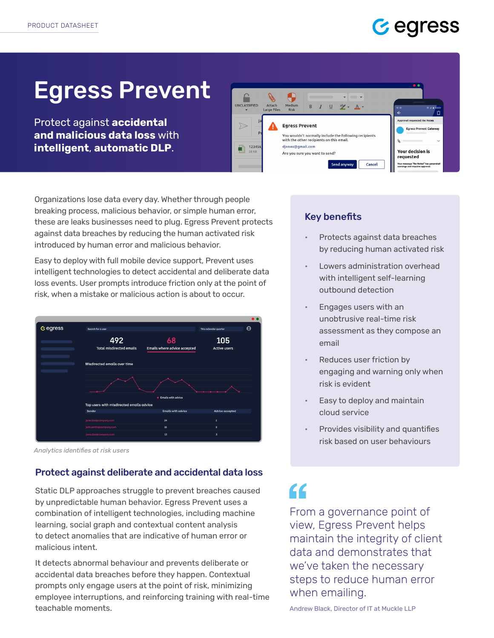# Gegress

# Egress Prevent

Protect against **accidental and malicious data loss** with **intelligent**, **automatic DLP**.



Organizations lose data every day. Whether through people breaking process, malicious behavior, or simple human error, these are leaks businesses need to plug. Egress Prevent protects against data breaches by reducing the human activated risk introduced by human error and malicious behavior.

Easy to deploy with full mobile device support, Prevent uses intelligent technologies to detect accidental and deliberate data loss events. User prompts introduce friction only at the point of risk, when a mistake or malicious action is about to occur.



*Analytics identifies at risk users*

### Protect against deliberate and accidental data loss

Static DLP approaches struggle to prevent breaches caused by unpredictable human behavior. Egress Prevent uses a combination of intelligent technologies, including machine learning, social graph and contextual content analysis to detect anomalies that are indicative of human error or malicious intent.

It detects abnormal behaviour and prevents deliberate or accidental data breaches before they happen. Contextual prompts only engage users at the point of risk, minimizing employee interruptions, and reinforcing training with real-time teachable moments.

### Key benefits

- Protects against data breaches by reducing human activated risk
- Lowers administration overhead with intelligent self-learning outbound detection
- Engages users with an unobtrusive real-time risk assessment as they compose an email
- Reduces user friction by engaging and warning only when risk is evident
- Easy to deploy and maintain cloud service
- Provides visibility and quantifies risk based on user behaviours

# $\epsilon$

From a governance point of view, Egress Prevent helps maintain the integrity of client data and demonstrates that we've taken the necessary steps to reduce human error when emailing.

Andrew Black, Director of IT at Muckle LLP